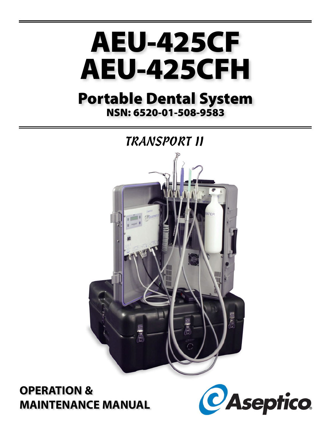

# **Portable Dental System NSN: 6520-01-508-9583**



# **OPERATION & MAINTENANCE MANUAL**

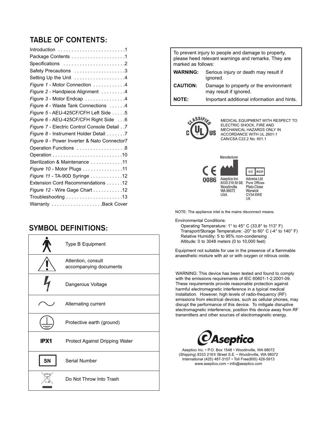# **TABLE OF CONTENTS:**

| Specifications 2                             |
|----------------------------------------------|
| Safety Precautions 3                         |
| Setting Up the Unit 4                        |
| Figure 1 - Motor Connection 4                |
| Figure 2 - Handpiece Alignment 4             |
| Figure 3 - Motor Endcap 4                    |
| Figure 4 - Waste Tank Connections 4          |
| Figure 5 - AEU-425CF/CFH Left Side 5         |
| Figure 6 - AEU-425CF/CFH Right Side 6        |
| Figure 7 - Electric Control Console Detail 7 |
| Figure 8 - Instrument Holder Detail 7        |
| Figure 9 - Power Inverter & Nato Connector7  |
| Operation Functions 8                        |
|                                              |
| Sterilization & Maintenance 11               |
| Figure 10 - Motor Plugs 11                   |
| Figure 11 - TA-90D Syringe 12                |
| Extension Cord Recommendations 12            |
| Figure 12 - Wire Gage Chart 12               |
|                                              |
| Warranty Back Cover                          |

# **SYMBOL DEFINITIONS:**

|      | Type B Equipment                             |  |  |  |
|------|----------------------------------------------|--|--|--|
|      | Attention, consult<br>accompanying documents |  |  |  |
|      | Dangerous Voltage                            |  |  |  |
|      | Alternating current                          |  |  |  |
|      | Protective earth (ground)                    |  |  |  |
| IPX1 | Protect Against Dripping Water               |  |  |  |
|      | Serial Number                                |  |  |  |
|      | Do Not Throw Into Trash                      |  |  |  |

| To prevent injury to people and damage to property,<br>please heed relevant warnings and remarks. They are<br>marked as follows: |                                                                 |  |  |  |  |
|----------------------------------------------------------------------------------------------------------------------------------|-----------------------------------------------------------------|--|--|--|--|
| <b>WARNING:</b>                                                                                                                  | Serious injury or death may result if<br>ignored.               |  |  |  |  |
| <b>CAUTION:</b>                                                                                                                  | Damage to property or the environment<br>may result if ignored. |  |  |  |  |
|                                                                                                                                  | Important additional information and hints.                     |  |  |  |  |



MEDICAL EQUIPMENT WITH RESPECT TO ELECTRIC SHOCK, FIRE AND MECHANICAL HAZARDS ONLY IN ACCORDANCE WITH UL 2601-1 CAN/CSA C22.2 No. 601.1



NOTE: The appliance inlet is the mains disconnect means.

Environmental Conditions:

Operating Temperature: 1° to 45° C (33.8° to 113° F) Transport/Storage Temperature: -20° to 60° C (-4° to 140° F) Relative Humidity: 5 to 95% non-condensing Altitude: 0 to 3048 meters (0 to 10,000 feet)

Equipment not suitable for use in the presence of a flammable anaesthetic mixture with air or with oxygen or nitrous oxide.

WARNING: This device has been tested and found to comply with the emissions requirements of IEC 60601-1-2:2001-09. These requirements provide reasonable protection against harmful electromagnetic interference in a typical medical installation. However, high levels of radio-frequency (RF) emissions from electrical devices, such as cellular phones, may disrupt the performance of this device. To mitigate disruptive electromagnetic interference, position this device away from RF transmitters and other sources of electromagnetic energy.



Aseptico Inc. • P.O. Box 1548 • Woodinville, WA 98072 (Shipping) 8333 216th Street S.E. • Woodinville, WA 98072 International (425) 487-3157 • Toll Free(800) 426-5913 www.aseptico.com • info@aseptico.com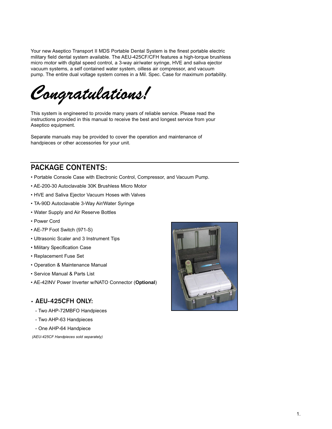Your new Aseptico Transport II MDS Portable Dental System is the finest portable electric military field dental system available. The AEU-425CF/CFH features a high-torque brushless micro motor with digital speed control, a 3-way air/water syringe, HVE and saliva ejector vacuum systems, a self contained water system, oilless air compressor, and vacuum pump. The entire dual voltage system comes in a Mil. Spec. Case for maximum portability.

*Congratulations!*

This system is engineered to provide many years of reliable service. Please read the instructions provided in this manual to receive the best and longest service from your Aseptico equipment.

Separate manuals may be provided to cover the operation and maintenance of handpieces or other accessories for your unit.

## **PACKAGE CONTENTS:**

- Portable Console Case with Electronic Control, Compressor, and Vacuum Pump.
- AE-200-30 Autoclavable 30K Brushless Micro Motor
- HVE and Saliva Ejector Vacuum Hoses with Valves
- TA-90D Autoclavable 3-Way Air/Water Syringe
- Water Supply and Air Reserve Bottles
- Power Cord
- AE-7P Foot Switch (971-S)
- Ultrasonic Scaler and 3 Instrument Tips
- Military Specification Case
- Replacement Fuse Set
- Operation & Maintenance Manual
- Service Manual & Parts List
- AE-42INV Power Inverter w/NATO Connector (**Optional**)

### **• AEU-425CFH ONLY:**

- Two AHP-72MBFO Handpieces
- Two AHP-63 Handpieces
- One AHP-64 Handpiece

*(AEU-425CF Handpieces sold separately)*

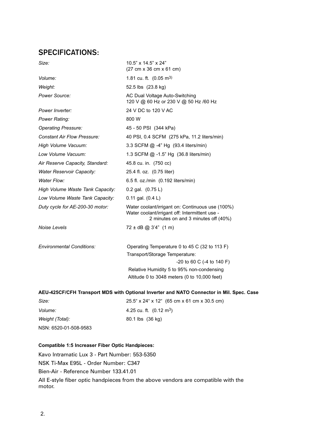# **SPECIFICATIONS:**

| Size:                              | 10.5" x 14.5" x 24"<br>(27 cm x 36 cm x 61 cm)                                                                                                                 |
|------------------------------------|----------------------------------------------------------------------------------------------------------------------------------------------------------------|
| Volume:                            | 1.81 cu. ft. $(0.05 \text{ m}^3)$                                                                                                                              |
| Weight:                            | 52.5 lbs (23.8 kg)                                                                                                                                             |
| Power Source:                      | AC Dual Voltage Auto-Switching<br>120 V @ 60 Hz or 230 V @ 50 Hz /60 Hz                                                                                        |
| Power Inverter:                    | 24 V DC to 120 V AC                                                                                                                                            |
| Power Rating:                      | 800 W                                                                                                                                                          |
| <b>Operating Pressure:</b>         | 45 - 50 PSI (344 kPa)                                                                                                                                          |
| <b>Constant Air Flow Pressure:</b> | 40 PSI, 0.4 SCFM (275 kPa, 11.2 liters/min)                                                                                                                    |
| High Volume Vacuum:                | 3.3 SCFM @ -4" Hg (93.4 liters/min)                                                                                                                            |
| Low Volume Vacuum:                 | 1.3 SCFM $@ -1.5"$ Hg $(36.8 \text{ liters/min})$                                                                                                              |
| Air Reserve Capacity, Standard:    | 45.8 cu. in. (750 cc)                                                                                                                                          |
| <b>Water Reservoir Capacity:</b>   | 25.4 fl. oz. (0.75 liter)                                                                                                                                      |
| Water Flow:                        | 6.5 fl. oz./min (0.192 liters/min)                                                                                                                             |
| High Volume Waste Tank Capacity:   | $0.2$ gal. $(0.75 L)$                                                                                                                                          |
| Low Volume Waste Tank Capacity:    | $0.11$ gal. $(0.4 L)$                                                                                                                                          |
| Duty cycle for AE-200-30 motor:    | Water coolant/irrigant on: Continuous use (100%)<br>Water coolant/irrigant off: Intermittent use -<br>2 minutes on and 3 minutes off (40%)                     |
| Noise Levels                       | $72 \pm dB$ @ 3'4" (1 m)                                                                                                                                       |
|                                    |                                                                                                                                                                |
| <b>Environmental Conditions:</b>   | Operating Temperature 0 to 45 C (32 to 113 F)<br>Transport/Storage Temperature:<br>$-20$ to 60 C ( $-4$ to 140 F)<br>Relative Humidity 5 to 95% non-condensing |
|                                    | Altitude 0 to 3048 meters (0 to 10,000 feet)                                                                                                                   |

### **AEU-425CF/CFH Transport MDS with Optional Inverter and NATO Connector in Mil. Spec. Case**

| Size:                 | 25.5" x 24" x 12" (65 cm x 61 cm x 30.5 cm) |
|-----------------------|---------------------------------------------|
| <i>Volume:</i>        | 4.25 cu. ft. $(0.12 \text{ m}^3)$           |
| Weight (Total):       | 80.1 lbs (36 kg)                            |
| NSN: 6520-01-508-9583 |                                             |

### **Compatible 1:5 Increaser Fiber Optic Handpieces:**

Kavo Intramatic Lux 3 - Part Number: 553-5350 NSK Ti-Max E95L - Order Number: C347 Bien-Air - Reference Number 133.41.01 All E-style fiber optic handpieces from the above vendors are compatible with the motor.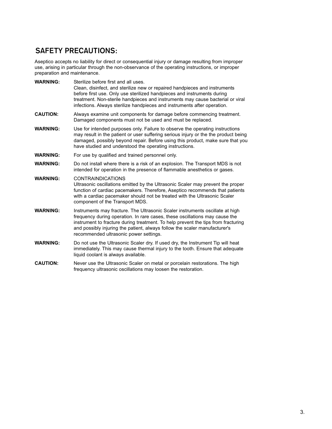# **SAFETY PRECAUTIONS:**

Aseptico accepts no liability for direct or consequential injury or damage resulting from improper use, arising in particular through the non-observance of the operating instructions, or improper preparation and maintenance.

| <b>WARNING:</b> | Sterilize before first and all uses.<br>Clean, disinfect, and sterilize new or repaired handpieces and instruments<br>before first use. Only use sterilized handpieces and instruments during<br>treatment. Non-sterile handpieces and instruments may cause bacterial or viral<br>infections. Always sterilize handpieces and instruments after operation.               |
|-----------------|---------------------------------------------------------------------------------------------------------------------------------------------------------------------------------------------------------------------------------------------------------------------------------------------------------------------------------------------------------------------------|
| <b>CAUTION:</b> | Always examine unit components for damage before commencing treatment.<br>Damaged components must not be used and must be replaced.                                                                                                                                                                                                                                       |
| <b>WARNING:</b> | Use for intended purposes only. Failure to observe the operating instructions<br>may result in the patient or user suffering serious injury or the the product being<br>damaged, possibly beyond repair. Before using this product, make sure that you<br>have studied and understood the operating instructions.                                                         |
| <b>WARNING:</b> | For use by qualified and trained personnel only.                                                                                                                                                                                                                                                                                                                          |
| <b>WARNING:</b> | Do not install where there is a risk of an explosion. The Transport MDS is not<br>intended for operation in the presence of flammable anesthetics or gases.                                                                                                                                                                                                               |
| <b>WARNING:</b> | <b>CONTRAINDICATIONS</b><br>Ultrasonic oscillations emitted by the Ultrasonic Scaler may prevent the proper<br>function of cardiac pacemakers. Therefore, Aseptico recommends that patients<br>with a cardiac pacemaker should not be treated with the Ultrasonic Scaler<br>component of the Transport MDS.                                                               |
| <b>WARNING:</b> | Instruments may fracture. The Ultrasonic Scaler instruments oscillate at high<br>frequency during operation. In rare cases, these oscillations may cause the<br>instrument to fracture during treatment. To help prevent the tips from fracturing<br>and possibly injuring the patient, always follow the scaler manufacturer's<br>recommended ultrasonic power settings. |
| <b>WARNING:</b> | Do not use the Ultrasonic Scaler dry. If used dry, the Instrument Tip will heat<br>immediately. This may cause thermal injury to the tooth. Ensure that adequate<br>liquid coolant is always available.                                                                                                                                                                   |
| <b>CAUTION:</b> | Never use the Ultrasonic Scaler on metal or porcelain restorations. The high<br>frequency ultrasonic oscillations may loosen the restoration.                                                                                                                                                                                                                             |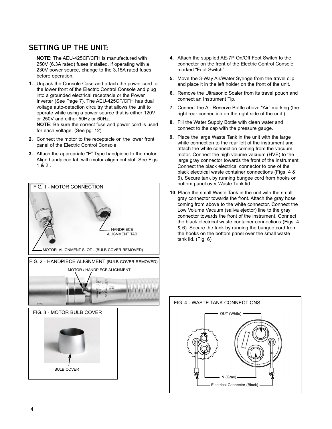# **SETTING UP THE UNIT:**

**NOTE:** The AEU-425CF/CFH is manufactured with 250V (6.3A rated) fuses installed, if operating with a 230V power source, change to the 3.15A rated fuses before operation.

- **1.** Unpack the Console Case and attach the power cord to the lower front of the Electric Control Console and plug into a grounded electrical receptacle or the Power Inverter (See Page 7). The AEU-425CF/CFH has dual voltage auto-detection circuitry that allows the unit to operate while using a power source that is either 120V or 250V and either 50Hz or 60Hz. **NOTE:** Be sure the correct fuse and power cord is used for each voltage. (See pg. 12)
- **2.** Connect the motor to the receptacle on the lower front panel of the Electric Control Console.
- **3.** Attach the appropriate "E" Type handpiece to the motor. Align handpiece tab with motor alignment slot. See Figs. 1 & 2 .



- **4.** Attach the supplied AE-7P On/Off Foot Switch to the connector on the front of the Electric Control Console marked "Foot Switch".
- **5.** Move the 3-Way Air/Water Syringe from the travel clip and place it in the left holder on the front of the unit.
- **6.** Remove the Ultrasonic Scaler from its travel pouch and connect an Instrument Tip.
- **7.** Connect the Air Reserve Bottle above "Air" marking (the right rear connection on the right side of the unit.)
- **8.** Fill the Water Supply Bottle with clean water and connect to the cap with the pressure gauge.
- **9.** Place the large Waste Tank in the unit with the large white connection to the rear left of the instrument and attach the white connection coming from the vacuum motor. Connect the high volume vacuum (HVE) to the large gray connector towards the front of the instrument. Connect the black electrical connector to one of the black electrical waste container connections (Figs. 4 & 6). Secure tank by running bungee cord from hooks on bottom panel over Waste Tank lid.
- **10**. Place the small Waste Tank in the unit with the small gray connector towards the front. Attach the gray hose coming from above to the white connector. Connect the Low Volume Vacuum (saliva ejector) line to the gray connector towards the front of the instrument. Connect the black electrical waste container connections (Figs. 4 & 6). Secure the tank by running the bungee cord from the hooks on the bottom panel over the small waste tank lid. (Fig. 6)

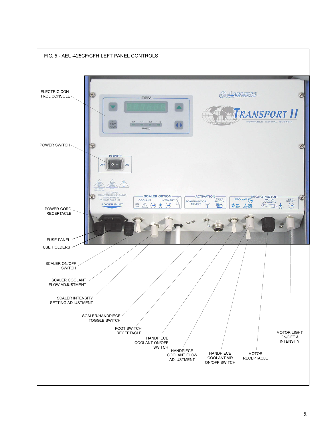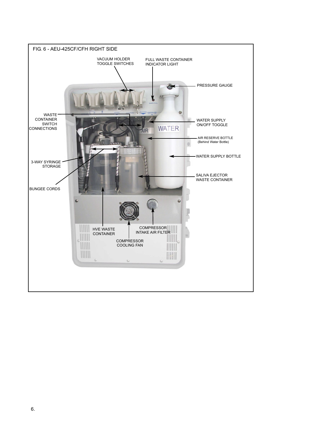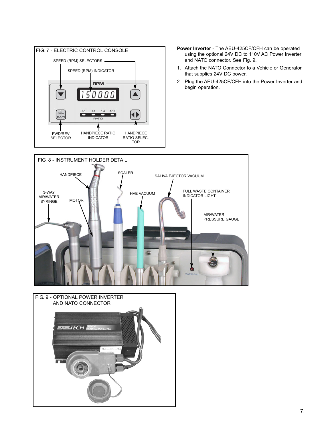

- using the optional 24V DC to 110V AC Power Inverter and NATO connector. See Fig. 9.
- 1. Attach the NATO Connector to a Vehicle or Generator that supplies 24V DC power.
- 2. Plug the AEU-425CF/CFH into the Power Inverter and begin operation.



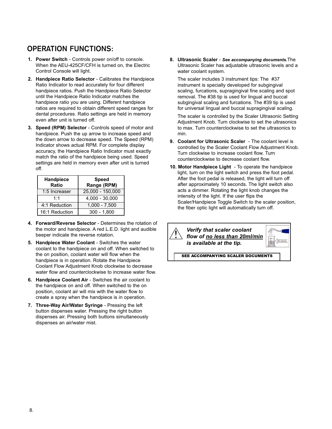# **OPERATION FUNCTIONS:**

- **1. Power Switch** Controls power on/off to console. When the AEU-425CF/CFH is turned on, the Electric Control Console will light.
- **2. Handpiece Ratio Selector** Calibrates the Handpiece Ratio Indicator to read accurately for four different handpiece ratios. Push the Handpiece Ratio Selector until the Handpiece Ratio Indicator matches the handpiece ratio you are using. Different handpiece ratios are required to obtain different speed ranges for dental procedures. Ratio settings are held in memory even after unit is turned off.
- **3. Speed (RPM) Selector** Controls speed of motor and handpiece. Push the up arrow to increase speed and the down arrow to decrease speed. The Speed (RPM) Indicator shows actual RPM. For complete display accuracy, the Handpiece Ratio Indicator must exactly match the ratio of the handpiece being used. Speed settings are held in memory even after unit is turned off.

| Handpiece<br>Ratio | <b>Speed</b><br>Range (RPM) |
|--------------------|-----------------------------|
| 1:5 Increaser      | $25,000 - 150,000$          |
| 1:1                | $4,000 - 30,000$            |
| 4:1 Reduction      | $1,000 - 7,500$             |
| 16:1 Reduction     | $300 - 1,800$               |

- **4. Forward/Reverse Selector**  Determines the rotation of the motor and handpiece. A red L.E.D. light and audible beeper indicate the reverse rotation.
- **5. Handpiece Water Coolant** Switches the water coolant to the handpiece on and off. When switched to the on position, coolant water will flow when the handpiece is in operation. Rotate the Handpiece Coolant Flow Adjustment Knob clockwise to decrease water flow and counterclockwise to increase water flow.
- **6. Handpiece Coolant Air** Switches the air coolant to the handpiece on and off. When switched to the on position, coolant air will mix with the water flow to create a spray when the handpiece is in operation.
- **7. Three-Way Air/Water Syringe** Pressing the left button dispenses water. Pressing the right button dispenses air. Pressing both buttons simultaneously dispenses an air/water mist.

**8. Ultrasonic Scaler** - *See accompanying documents.*The Ultrasonic Scaler has adjustable ultrasonic levels and a water coolant system.

The scaler includes 3 instrument tips: The #37 instrument is specially developed for subgingival scaling, furcations, supragingival fine scaling and spot removal. The #38 tip is used for lingual and buccal subgingival scaling and furcations. The #39 tip is used for universal lingual and buccal supragingival scaling.

The scaler is controlled by the Scaler Ultrasonic Setting Adjustment Knob. Turn clockwise to set the ultrasonics to max. Turn counterclockwise to set the ultrasonics to min.

- **9. Coolant for Ultrasonic Scaler** The coolant level is controlled by the Scaler Coolant Flow Adjustment Knob. Turn clockwise to increase coolant flow. Turn counterclockwise to decrease coolant flow.
- **10. Motor Handpiece Light**  To operate the handpiece light, turn on the light switch and press the foot pedal. After the foot pedal is released, the light will turn off after approximately 10 seconds. The light switch also acts a dimmer. Rotating the light knob changes the intensity of the light. If the user flips the Scaler/Handpiece Toggle Switch to the scaler position, the fiber optic light will automatically turn off.



SEE ACCOMPANYING SCALER DOCUMENTS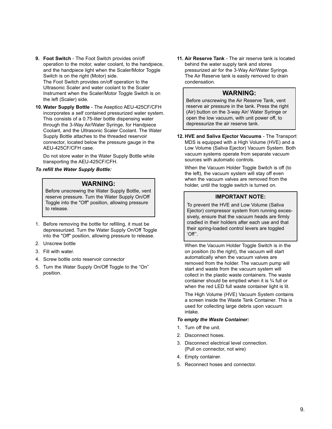- **9. Foot Switch** The Foot Switch provides on/off operation to the motor, water coolant, to the handpiece, and the handpiece light when the Scaler/Motor Toggle Switch is on the right (Motor) side. The Foot Switch provides on/off operation to the Ultrasonic Scaler and water coolant to the Scaler Instrument when the Scaler/Motor Toggle Switch is on the left (Scaler) side.
- **10. Water Supply Bottle** The Aseptico AEU-425CF/CFH incorporates a self contained pressurized water system. This consists of a 0.75-liter bottle dispensing water through the 3-Way Air/Water Syringe, for Handpiece Coolant, and the Ultrasonic Scaler Coolant. The Water Supply Bottle attaches to the threaded reservoir connector, located below the pressure gauge in the AEU-425CF/CFH case.

Do not store water in the Water Supply Bottle while transporting the AEU-425CF/CFH.

#### *To refill the Water Supply Bottle:*

#### **WARNING:**

Before unscrewing the Water Supply Bottle, vent reserve pressure. Turn the Water Supply On/Off Toggle into the "Off" position, allowing pressure to release.

- 1. Before removing the bottle for refilling, it must be depressurized. Turn the Water Supply On/Off Toggle into the "Off" position, allowing pressure to release.
- 2. Unscrew bottle
- 3. Fill with water.
- 4. Screw bottle onto reservoir connector
- 5. Turn the Water Supply On/Off Toggle to the "On" position.

**11. Air Reserve Tank** - The air reserve tank is located behind the water supply tank and stores pressurized air for the 3-Way Air/Water Syringe. The Air Reserve tank is easily removed to drain condensation.

### **WARNING:**

Before unscrewing the Air Reserve Tank, vent reserve air pressure in the tank. Press the right (Air) button on the 3-way Air/ Water Syringe or open the low vacuum, with unit power off, to depressurize the air reserve tank.

**12. HVE and Saliva Ejector Vacuums** - The Transport MDS is equipped with a High Volume (HVE) and a Low Volume (Saliva Ejector) Vacuum System. Both vacuum systems operate from separate vacuum sources with automatic controls.

When the Vacuum Holder Toggle Switch is off (to the left), the vacuum system will stay off even when the vacuum valves are removed from the holder, until the toggle switch is turned on.

### **IMPORTANT NOTE:**

To prevent the HVE and Low Volume (Saliva Ejector) compressor system from running excessively, ensure that the vacuum heads are firmly cradled in their holders after each use and that their spring-loaded control levers are toggled 'Off''.

When the Vacuum Holder Toggle Switch is in the on position (to the right), the vacuum will start automatically when the vacuum valves are removed from the holder. The vacuum pump will start and waste from the vacuum system will collect in the plastic waste containers. The waste container should be emptied when it is ¾ full or when the red LED full waste container light is lit.

The High Volume (HVE) Vacuum System contains a screen inside the Waste Tank Container. This is used for collecting large debris upon vacuum intake.

#### *To empty the Waste Container:*

- 1. Turn off the unit.
- 2. Disconnect hoses.
- 3. Disconnect electrical level connection. (Pull on connector, not wire)
- 4. Empty container.
- 5. Reconnect hoses and connector.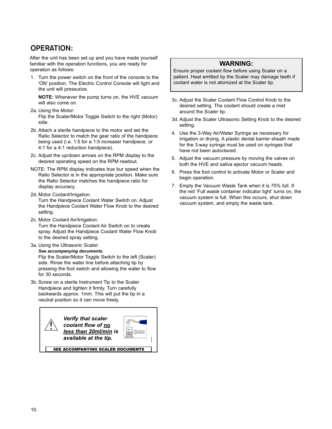# **OPERATION:**

After the unit has been set up and you have made yourself familiar with the operation functions, you are ready for operation as follows:

1. Turn the power switch on the front of the console to the 'ON' position. The Electric Control Console will light and the unit will pressurize.

**NOTE:** Whenever the pump turns on, the HVE vacuum will also come on.

- 2a. Using the Motor: Flip the Scaler/Motor Toggle Switch to the right (Motor) side.
- 2b. Attach a sterile handpiece to the motor and set the Ratio Selector to match the gear ratio of the handpiece being used (i.e. 1:5 for a 1:5 increaser handpiece, or 4:1 for a 4:1 reduction handpiece).
- 2c. Adjust the up/down arrows on the RPM display to the desired operating speed on the RPM readout.
- NOTE: The RPM display indicates true bur speed when the Ratio Selector is in the appropriate position. Make sure the Ratio Selector matches the handpiece ratio for display accuracy.
- 2d. Motor Coolant/Irrigation:

Turn the Handpiece Coolant Water Switch on. Adjust the Handpiece Coolant Water Flow Knob to the desired setting.

2c. Motor Coolant Air/Irrigation:

Turn the Handpiece Coolant Air Switch on to create spray. Adjust the Handpiece Coolant Water Flow Knob to the desired spray setting.

3a. Using the Ultrasonic Scaler:

*See accompanying documents.*

Flip the Scaler/Motor Toggle Switch to the left (Scaler) side. Rinse the water line before attaching tip by pressing the foot switch and allowing the water to flow for 30 seconds.

3b. Screw on a sterile Instrument Tip to the Scaler Handpiece and tighten it firmly. Turn carefully backwards approx. 1mm. This will put the tip in a neutral position so it can move freely.



SEE ACCOMPANYING SCALER DOCUMENTS

### **WARNING:**

Ensure proper coolant flow before using Scaler on a patient. Heat emitted by the Scaler may damage teeth if coolant water is not atomized at the Scaler tip.

- 3c. Adjust the Scaler Coolant Flow Control Knob to the desired setting. The coolant should create a mist around the Scaler tip.
- 3d. Adjust the Scaler Ultrasonic Setting Knob to the desired setting.
- 4. Use the 3-Way Air/Water Syringe as necessary for irrigation or drying. A plastic dental barrier sheath made for the 3-way syringe must be used on syringes that have not been autoclaved.
- 5. Adjust the vacuum pressure by moving the valves on both the HVE and saliva ejector vacuum heads.
- 6. Press the foot control to activate Motor or Scaler and begin operation.
- 7. Empty the Vacuum Waste Tank when it is 75% full. If the red 'Full waste container indicator light' turns on, the vacuum system is full. When this occurs, shut down vacuum system, and empty the waste tank.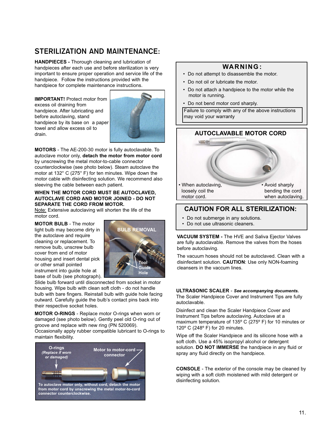# **STERILIZATION AND MAINTENANCE:**

**HANDPIECES -** Thorough cleaning and lubrication of handpieces after each use and before sterilization is very important to ensure proper operation and service life of the handpiece. Follow the instructions provided with the handpiece for complete maintenance instructions.

**IMPORTANT!** Protect motor from excess oil draining from handpiece. After lubricating and before autoclaving, stand handpiece by its base on a paper towel and allow excess oil to drain.



**MOTORS** - The AE-200-30 motor is fully autoclavable. To autoclave motor only, **detach the motor from motor cord** by unscrewing the metal motor-to-cable connector counterclockwise (see photo below). Steam autoclave the motor at 132° C (275° F) for ten minutes. Wipe down the motor cable with disinfecting solution. We recommend also sleeving the cable between each patient.

#### **WHEN THE MOTOR CORD MUST BE AUTOCLAVED, AUTOCLAVE CORD AND MOTOR JOINED - DO NOT SEPARATE THE CORD FROM MOTOR.**

Note: Extensive autoclaving will shorten the life of the motor cord.

**MOTOR BULB** - The motor light bulb may become dirty in the autoclave and require cleaning or replacement. To remove bulb, unscrew bulb cover from end of motor housing and insert dental pick or other small pointed instrument into guide hole at base of bulb (see photograph).



Slide bulb forward until disconnected from socket in motor housing. Wipe bulb with clean soft cloth - do not handle bulb with bare fingers. Reinstall bulb with guide hole facing outward. Carefully guide the bulb's contact pins back into their respective socket holes.

**MOTOR O-RINGS** - Replace motor O-rings when worn or damaged (see photo below). Gently peel old O-ring out of groove and replace with new ring (PN 520069). Occasionally apply rubber compatible lubricant to O-rings to

maintain flexibility.



### **WARNING :**

- Do not attempt to disassemble the motor.
- Do not oil or lubricate the motor.
- Do not attach a handpiece to the motor while the motor is running.
- Do not bend motor cord sharply.

Failure to comply with any of the above instructions may void your warranty



### **CAUTION FOR ALL STERILIZATION:**

- Do not submerge in any solutions.
- Do not use ultrasonic cleaners.

**VACUUM SYSTEM -** The HVE and Saliva Ejector Valves are fully autoclavable. Remove the valves from the hoses before autoclaving.

The vacuum hoses should not be autoclaved. Clean with a disinfectant solution. **CAUTION**: Use only NON-foaming cleansers in the vaccum lines.

#### **ULTRASONIC SCALER** - *See accompanying documents.*

The Scaler Handpiece Cover and Instrument Tips are fully autoclavable.

Disinfect and clean the Scaler Handpiece Cover and Instrument Tips before autoclaving. Autoclave at a maximum temperature of 135º C (275º F) for 10 minutes or 120º C (248º F) for 20 minutes.

Wipe off the Scaler Handpiece and its silicone hose with a soft cloth. Use a 45% isopropyl alcohol or detergent solution. **DO NOT IMMERSE** the handpiece in any fluid or spray any fluid directly on the handpiece.

**CONSOLE** - The exterior of the console may be cleaned by wiping with a soft cloth moistened with mild detergent or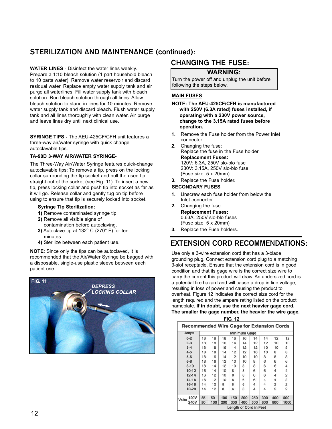# **STERILIZATION AND MAINTENANCE (continued):**

**WATER LINES** - Disinfect the water lines weekly.

Prepare a 1:10 bleach solution (1 part household bleach to 10 parts water). Remove water reservoir and discard residual water. Replace empty water supply tank and air purge all waterlines. Fill water supply tank with bleach solution. Run bleach solution through all lines. Allow bleach solution to stand in lines for 10 minutes. Remove water supply tank and discard bleach. Flush water supply tank and all lines thoroughly with clean water. Air purge and leave lines dry until next clinical use.

**SYRINGE TIPS - The AEU-425CF/CFH unit features a** three-way air/water syringe with quick change autoclavable tips.

### **TA-90D 3-WAY AIR/WATER SYRINGE-**

The Three-Way Air/Water Syringe features quick-change autoclavable tips: To remove a tip, press on the locking collar surrounding the tip socket and pull the used tip straight out of the socket (see Fig. 11). To insert a new tip, press locking collar and push tip into socket as far as it will go. Release collar and gently tug on tip before using to ensure that tip is securely locked into socket.

#### **Syringe Tip Sterilization:**

- **1)** Remove contaminated syringe tip.
- **2)** Remove all visible signs of
- contamination before autoclaving. **3)** Autoclave tip at 132° C (270° F) for ten minutes.
- **4)** Sterilize between each patient use.

**NOTE**: Since only the tips can be autoclaved, it is recommended that the Air/Water Syringe be bagged with a disposable, single-use plastic sleeve between each patient use.



# **CHANGING THE FUSE:**

### **WARNING:**

Turn the power off and unplug the unit before following the steps below.

### **MAIN FUSES**

- **NOTE: The AEU-425CF/CFH is manufactured with 250V (6.3A rated) fuses installed, if operating with a 230V power source, change to the 3.15A rated fuses before operation.**
- **1.** Remove the Fuse holder from the Power Inlet connector.
- **2.** Changing the fuse: Replace the fuse in the Fuse holder. **Replacement Fuses:** 120V: 6.3A, 250V slo-blo fuse 230V: 3.15A, 250V slo-blo fuse (Fuse size: 5 x 20mm)
- **3.** Replace the Fuse holder.

#### **SECONDARY FUSES**

- **1.** Unscrew each fuse holder from below the Inlet connector.
- **2.** Changing the fuse: **Replacement Fuses:** 0.63A, 250V slo-blo fuses (Fuse size: 5 x 20mm)
- **3.** Replace the Fuse holders.

# **EXTENSION CORD RECOMMENDATIONS:**

Use only a 3-wire extension cord that has a 3-blade grounding plug. Connect extension cord plug to a matching 3-slot receptacle. Ensure that the extension cord is in good condition and that its gage wire is the correct size wire to carry the current this product will draw. An undersized cord is a potential fire hazard and will cause a drop in line voltage, resulting in loss of power and causing the product to overheat. Figure 12 indicates the correct size cord for the length required and the ampere rating listed on the product nameplate. **If in doubt, use the next heavier gage cord. The smaller the gage number, the heavier the wire gage.**

| <b>FIG. 12</b>                |                                                  |     |     |     |     |     |     |                |                |
|-------------------------------|--------------------------------------------------|-----|-----|-----|-----|-----|-----|----------------|----------------|
|                               | <b>Recommended Wire Gage for Extension Cords</b> |     |     |     |     |     |     |                |                |
| Amps                          | <b>Minimum Gage</b>                              |     |     |     |     |     |     |                |                |
| $0 - 2$                       | 18                                               | 18  | 18  | 16  | 16  | 14  | 14  | 12             | 12             |
| $2 - 3$                       | 18                                               | 18  | 16  | 14  | 14  | 12  | 12  | 10             | 10             |
| $3 - 4$                       | 18                                               | 18  | 16  | 14  | 12  | 12  | 10  | 10             | 8              |
| $4 - 5$                       | 18                                               | 18  | 14  | 12  | 12  | 10  | 10  | 8              | 8              |
| $5 - 6$                       | 18                                               | 16  | 14  | 12  | 10  | 10  | 8   | 8              | 8              |
| $6 - 8$                       | 18                                               | 16  | 12  | 10  | 10  | 8   | 6   | 6              | 6              |
| $8 - 10$                      | 18                                               | 14  | 12  | 10  | 8   | 8   | 6   | 6              | 4              |
| $10 - 12$                     | 16                                               | 14  | 10  | 8   | 8   | 6   | 6   | 4              | 4              |
| $12 - 14$                     | 16                                               | 12  | 10  | 8   | 6   | 6   | 6   | 4              | 2              |
| $14 - 16$                     | 16                                               | 12  | 10  | 8   | 6   | 6   | 4   | 4              | $\overline{c}$ |
| $16 - 18$                     | 14                                               | 12  | 8   | 8   | 6   | 4   | 4   | $\overline{c}$ | 2              |
| 18-20                         | 14                                               | 12  | 8   | 6   | 6   | 4   | 4   | $\overline{2}$ | $\overline{2}$ |
| <b>120V</b><br><b>Volts</b>   | 25                                               | 50  | 100 | 150 | 200 | 250 | 300 | 400            | 500            |
| <b>240V</b>                   | 50                                               | 100 | 200 | 300 | 400 | 500 | 600 | 800            | 1000           |
| <b>Length of Cord in Feet</b> |                                                  |     |     |     |     |     |     |                |                |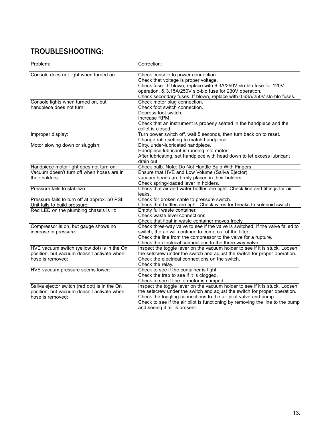# **TROUBLESHOOTING:**

| Problem:                                                                                                       | Correction:                                                                                                                                                                                                                                                                                                                                   |
|----------------------------------------------------------------------------------------------------------------|-----------------------------------------------------------------------------------------------------------------------------------------------------------------------------------------------------------------------------------------------------------------------------------------------------------------------------------------------|
| Console does not light when turned on:                                                                         | Check console to power connection.<br>Check that voltage is proper voltage.<br>Check fuse. If blown, replace with 6.3A/250V slo-blo fuse for 120V<br>operation, & 3.15A/250V slo-blo fuse for 230V operation.<br>Check secondary fuses. If blown, replace with 0.63A/250V slo-blo fuses.                                                      |
| Console lights when turned on, but<br>handpiece does not turn:                                                 | Check motor plug connection.<br>Check foot switch connection.<br>Depress foot switch.<br>Increase RPM.<br>Check that an instrument is properly seated in the handpiece and the<br>collet is closed.                                                                                                                                           |
| Improper display:                                                                                              | Turn power switch off, wait 5 seconds, then turn back on to reset.<br>Change ratio setting to match handpiece.                                                                                                                                                                                                                                |
| Motor slowing down or sluggish:                                                                                | Dirty, under-lubricated handpiece.<br>Handpiece lubricant is running into motor.<br>After lubricating, set handpiece with head down to let excess lubricant<br>drain out.                                                                                                                                                                     |
| Handpiece motor light does not turn on:                                                                        | Check bulb. Note: Do Not Handle Bulb With Fingers                                                                                                                                                                                                                                                                                             |
| Vacuum doesn't turn off when hoses are in                                                                      | Ensure that HVE and Low Volume (Saliva Ejector)                                                                                                                                                                                                                                                                                               |
| their holders:                                                                                                 | vacuum heads are firmly placed in their holders.<br>Check spring-loaded lever in holders.                                                                                                                                                                                                                                                     |
| Pressure fails to stabilize:                                                                                   | Check that air and water bottles are tight. Check line and fittings for air<br>leaks.                                                                                                                                                                                                                                                         |
| Pressure fails to turn off at approx. 50 PSI:                                                                  | Check for broken cable to pressure switch.                                                                                                                                                                                                                                                                                                    |
| Unit fails to build pressure:                                                                                  | Check that bottles are tight. Check wires for breaks to solenoid switch.                                                                                                                                                                                                                                                                      |
| Red LED on the plumbing chassis is lit:                                                                        | Empty full waste container.<br>Check waste level connections.                                                                                                                                                                                                                                                                                 |
| Compressor is on, but gauge shows no<br>increase in pressure:                                                  | Check that float in waste container moves freely.<br>Check three-way valve to see if the valve is switched. If the valve failed to<br>switch, the air will continue to come out of the filter.<br>Check the line from the compressor to the valve for a rupture.<br>Check the electrical connections to the three-way valve.                  |
| HVE vacuum switch (yellow dot) is in the On<br>position, but vacuum doesn't activate when<br>hose is removed:  | Inspect the toggle lever on the vacuum holder to see if it is stuck. Loosen<br>the setscrew under the switch and adjust the switch for proper operation.<br>Check the electrical connections on the switch.<br>Check the relay.                                                                                                               |
| HVE vacuum pressure seems lower:                                                                               | Check to see if the container is tight.<br>Check the trap to see if it is clogged.<br>Check to see if line to motor is crimped.                                                                                                                                                                                                               |
| Saliva ejector switch (red dot) is in the On<br>position, but vacuum doesn't activate when<br>hose is removed: | Inspect the toggle lever on the vacuum holder to see if it is stuck. Loosen<br>the setscrew under the switch and adjust the switch for proper operation.<br>Check the toggling connections to the air pilot valve and pump.<br>Check to see if the air pilot is functioning by removing the line to the pump<br>and seeing if air is present. |